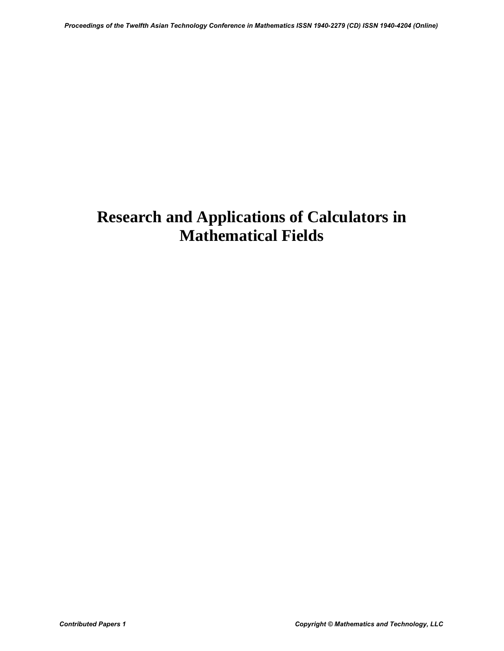## **Research and Applications of Calculators in Mathematical Fields**  *Proceedings of the Twelfth Asian Technology Conference in Mathematics ISSN 1940-2279 (CD) ISSN 1940-4204 (Online)*<br>Mathematical Fields<br>Contributed Papers 1<br>*Contributed Papers 1 Copyright © Mathematics and Technology, L*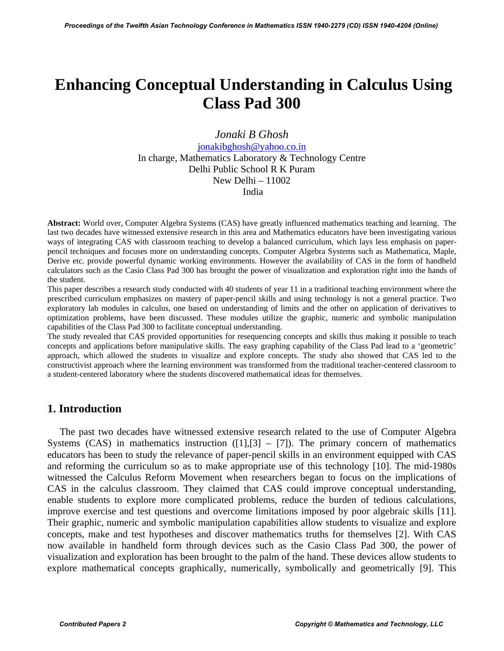## **Enhancing Conceptual Understanding in Calculus Using Class Pad 300**

*Jonaki B Ghosh*  jonakibghosh@yahoo.co.in

In charge, Mathematics Laboratory & Technology Centre Delhi Public School R K Puram New Delhi – 11002 India

**Abstract:** World over, Computer Algebra Systems (CAS) have greatly influenced mathematics teaching and learning. The last two decades have witnessed extensive research in this area and Mathematics educators have been investigating various ways of integrating CAS with classroom teaching to develop a balanced curriculum, which lays less emphasis on paperpencil techniques and focuses more on understanding concepts. Computer Algebra Systems such as Mathematica, Maple, Derive etc. provide powerful dynamic working environments. However the availability of CAS in the form of handheld calculators such as the Casio Class Pad 300 has brought the power of visualization and exploration right into the hands of the student.

This paper describes a research study conducted with 40 students of year 11 in a traditional teaching environment where the prescribed curriculum emphasizes on mastery of paper-pencil skills and using technology is not a general practice. Two exploratory lab modules in calculus, one based on understanding of limits and the other on application of derivatives to optimization problems, have been discussed. These modules utilize the graphic, numeric and symbolic manipulation capabilities of the Class Pad 300 to facilitate conceptual understanding.

The study revealed that CAS provided opportunities for resequencing concepts and skills thus making it possible to teach concepts and applications before manipulative skills. The easy graphing capability of the Class Pad lead to a 'geometric' approach, which allowed the students to visualize and explore concepts. The study also showed that CAS led to the constructivist approach where the learning environment was transformed from the traditional teacher-centered classroom to a student-centered laboratory where the students discovered mathematical ideas for themselves.

## **1. Introduction**

 The past two decades have witnessed extensive research related to the use of Computer Algebra Systems (CAS) in mathematics instruction  $(11, 13] - 7$ ]). The primary concern of mathematics educators has been to study the relevance of paper-pencil skills in an environment equipped with CAS and reforming the curriculum so as to make appropriate use of this technology [10]. The mid-1980s witnessed the Calculus Reform Movement when researchers began to focus on the implications of CAS in the calculus classroom. They claimed that CAS could improve conceptual understanding, enable students to explore more complicated problems, reduce the burden of tedious calculations, improve exercise and test questions and overcome limitations imposed by poor algebraic skills [11]. Their graphic, numeric and symbolic manipulation capabilities allow students to visualize and explore concepts, make and test hypotheses and discover mathematics truths for themselves [2]. With CAS now available in handheld form through devices such as the Casio Class Pad 300, the power of visualization and exploration has been brought to the palm of the hand. These devices allow students to explore mathematical concepts graphically, numerically, symbolically and geometrically [9]. This *Proceedings of the Twelfth Asian Technology Conference in Mathematics ISSN 1940-2279 (CD)* Conference in Control *B Chock 1940-2279* (CD) Control *Proceedings Control Control Control <i>B Chock 1940-2249* (CD) Control *CD*